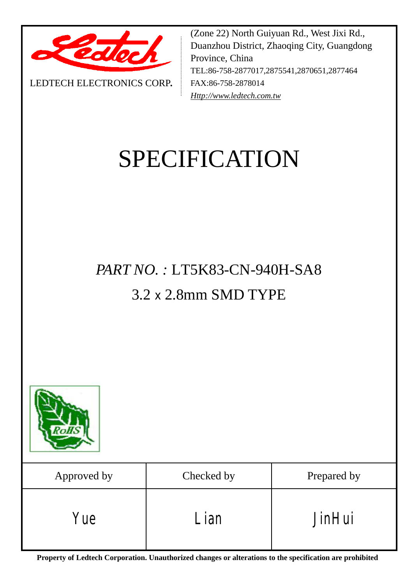

LEDTECH ELECTRONICS CORP**.**

(Zone 22) North Guiyuan Rd., West Jixi Rd., Duanzhou District, Zhaoqing City, Guangdong Province, China TEL:86-758-2877017,2875541,2870651,2877464 FAX:86-758-2878014 *[Http://www.ledtech.com.tw](http://www.ledtech.com.tw)*

# SPECIFICATION

## *PART NO. :* LT5K83-CN-940H-SA8 3.2 x 2.8mm SMD TYPE



| Approved by | Checked by | Prepared by   |
|-------------|------------|---------------|
| Yue         | ' ian      | <b>JinHui</b> |

**Property of Ledtech Corporation. Unauthorized changes or alterations to the specification are prohibited**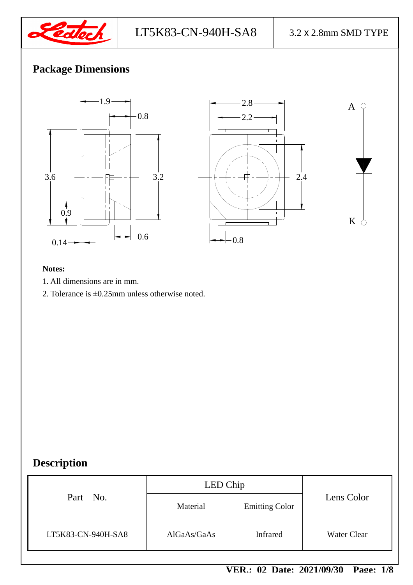

## **Package Dimensions**



#### **Notes:**

- 1. All dimensions are in mm.
- 2. Tolerance is ±0.25mm unless otherwise noted.

## **Description**

|                    | LED Chip    |                       |                    |
|--------------------|-------------|-----------------------|--------------------|
| Part No.           | Material    | <b>Emitting Color</b> | Lens Color         |
| LT5K83-CN-940H-SA8 | AIGaAs/GaAs | <b>Infrared</b>       | <b>Water Clear</b> |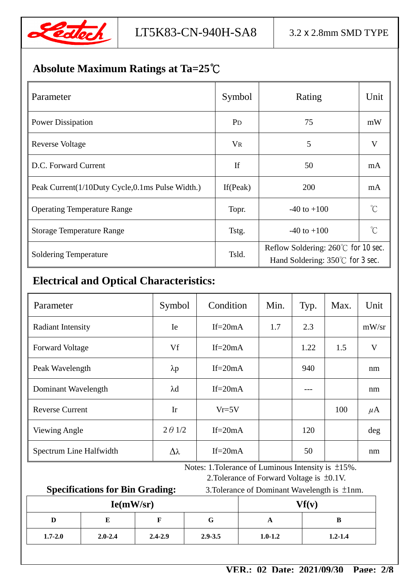

## **Absolute Maximum Ratings at Ta=25℃**

| Parameter                                       | Symbol      | Rating                                                                          | Unit         |
|-------------------------------------------------|-------------|---------------------------------------------------------------------------------|--------------|
| <b>Power Dissipation</b>                        | $P_{D}$     | 75                                                                              | mW           |
| <b>Reverse Voltage</b>                          | $V_{R}$     | 5                                                                               | V            |
| D.C. Forward Current                            | <b>If</b>   | 50                                                                              | mA           |
| Peak Current(1/10Duty Cycle,0.1ms Pulse Width.) | If $(Peak)$ | 200                                                                             | mA           |
| <b>Operating Temperature Range</b>              | Topr.       | $-40$ to $+100$                                                                 | $^{\circ}$ C |
| <b>Storage Temperature Range</b>                | Tstg.       | $-40$ to $+100$                                                                 | °∩°          |
| <b>Soldering Temperature</b>                    | Tsld.       | Reflow Soldering: $260^{\circ}$ for 10 sec.<br>Hand Soldering: 350°C for 3 sec. |              |

## **Electrical and Optical Characteristics:**

| Parameter                | Symbol          | Condition  | Min. | Typ. | Max. | Unit    |
|--------------------------|-----------------|------------|------|------|------|---------|
| <b>Radiant Intensity</b> | Ie              | If= $20mA$ | 1.7  | 2.3  |      | mW/sr   |
| <b>Forward Voltage</b>   | Vf              | If= $20mA$ |      | 1.22 | 1.5  | V       |
| Peak Wavelength          | $\lambda p$     | If= $20mA$ |      | 940  |      | nm      |
| Dominant Wavelength      | $\lambda$ d     | If= $20mA$ |      |      |      | nm      |
| <b>Reverse Current</b>   | Ir              | $Vr=5V$    |      |      | 100  | $\mu$ A |
| Viewing Angle            | $2 \theta$ 1/2  | If= $20mA$ |      | 120  |      | deg     |
| Spectrum Line Halfwidth  | $\Delta\lambda$ | If= $20mA$ |      | 50   |      | nm      |

Notes: 1.Tolerance of Luminous Intensity is ±15%.

#### **Specifications for Bin Grading:** 3.Tolerance of Dominant Wavelength is  $\pm 1$ nm.

2.Tolerance of Forward Voltage is ±0.1V.

| ັ<br>Ie(mW/sr) |             |             |             | Vf(v)       |             |
|----------------|-------------|-------------|-------------|-------------|-------------|
| D              |             |             | v           |             | в           |
| $1.7 - 2.0$    | $2.0 - 2.4$ | $2.4 - 2.9$ | $2.9 - 3.5$ | $1.0 - 1.2$ | $1.2 - 1.4$ |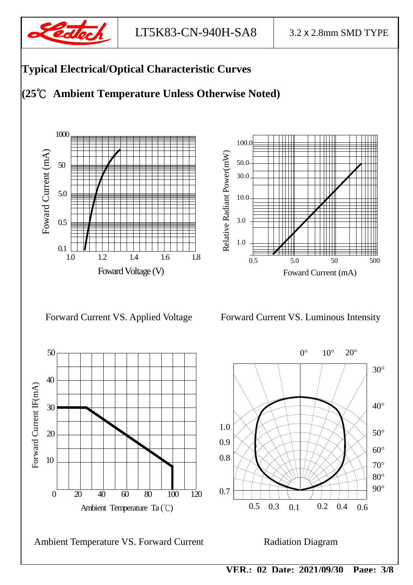

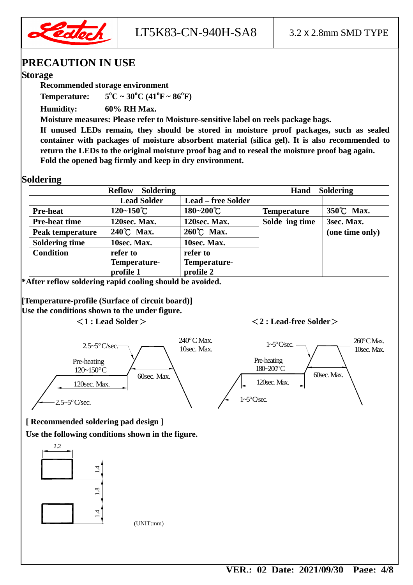

LT5K83-CN-940H-SA8  $\vert$  3.2 x 2.8mm SMD TYPE

#### **PRECAUTION IN USE**

#### **Storage**

**Recommended storage environment** 

**Temperature:**  $5^{\circ}C \sim 30^{\circ}C (41^{\circ}F \sim 86^{\circ}F)$ 

**Humidity: 60% RH Max.** 

**Moisture measures: Please refer to Moisture-sensitive label on reels package bags.** 

**If unused LEDs remain, they should be stored in moisture proof packages, such as sealed container with packages of moisture absorbent material (silica gel). It is also recommended to return the LEDs to the original moisture proof bag and to reseal the moisture proof bag again. Fold the opened bag firmly and keep in dry environment.** 

#### **Soldering**

| <b>Soldering</b><br><b>Reflow</b> |                       |                           | <b>Soldering</b><br>Hand |                 |
|-----------------------------------|-----------------------|---------------------------|--------------------------|-----------------|
|                                   | <b>Lead Solder</b>    | <b>Lead – free Solder</b> |                          |                 |
| <b>Pre-heat</b>                   | $120 - 150^{\circ}$ C | 180~200°C                 | <b>Temperature</b>       | 350°C Max.      |
| <b>Pre-heat time</b>              | 120sec. Max.          | 120sec. Max.              | Solde ing time           | 3sec. Max.      |
| <b>Peak temperature</b>           | 240°C Max.            | 260°C Max.                |                          | (one time only) |
| <b>Soldering time</b>             | 10sec. Max.           | 10sec. Max.               |                          |                 |
| <b>Condition</b>                  | refer to              | refer to                  |                          |                 |
|                                   | Temperature-          | Temperature-              |                          |                 |
|                                   | profile 1             | profile 2                 |                          |                 |

**\*After reflow soldering rapid cooling should be avoided.** 

**[Temperature-profile (Surface of circuit board)] Use the conditions shown to the under figure.** 

#### **<1 : Lead Solder> <2 : Lead-free Solder>**



**[ Recommended soldering pad design ]** 

**Use the following conditions shown in the figure.** 



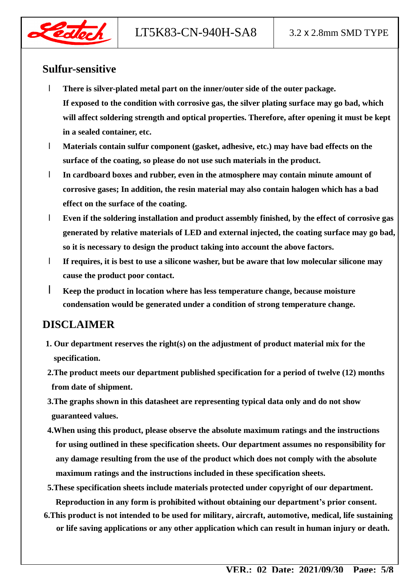

#### **Sulfur-sensitive**

- l **There is silver-plated metal part on the inner/outer side of the outer package. If exposed to the condition with corrosive gas, the silver plating surface may go bad, which will affect soldering strength and optical properties. Therefore, after opening it must be kept in a sealed container, etc.**
- l **Materials contain sulfur component (gasket, adhesive, etc.) may have bad effects on the surface of the coating, so please do not use such materials in the product.**
- l **In cardboard boxes and rubber, even in the atmosphere may contain minute amount of corrosive gases; In addition, the resin material may also contain halogen which has a bad effect on the surface of the coating.**
- l **Even if the soldering installation and product assembly finished, by the effect of corrosive gas generated by relative materials of LED and external injected, the coating surface may go bad, so it is necessary to design the product taking into account the above factors.**
- l **If requires, it is best to use a silicone washer, but be aware that low molecular silicone may cause the product poor contact.**
- l **Keep the product in location where has less temperature change, because moisture condensation would be generated under a condition of strong temperature change.**

### **DISCLAIMER**

- **1. Our department reserves the right(s) on the adjustment of product material mix for the specification.**
- **2.The product meets our department published specification for a period of twelve (12) months from date of shipment.**
- **3.The graphs shown in this datasheet are representing typical data only and do not show guaranteed values.**
- **4.When using this product, please observe the absolute maximum ratings and the instructions for using outlined in these specification sheets. Our department assumes no responsibility for any damage resulting from the use of the product which does not comply with the absolute maximum ratings and the instructions included in these specification sheets.**
- **5.These specification sheets include materials protected under copyright of our department. Reproduction in any form is prohibited without obtaining our department's prior consent.**
- **6.This product is not intended to be used for military, aircraft, automotive, medical, life sustaining or life saving applications or any other application which can result in human injury or death.**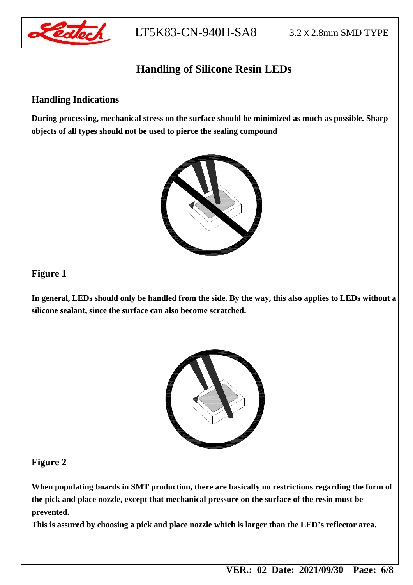

## **Handling of Silicone Resin LEDs**

#### **Handling Indications**

**During processing, mechanical stress on the surface should be minimized as much as possible. Sharp objects of all types should not be used to pierce the sealing compound** 



#### **Figure 1**

**In general, LEDs should only be handled from the side. By the way, this also applies to LEDs without a silicone sealant, since the surface can also become scratched.** 



#### **Figure 2**

**When populating boards in SMT production, there are basically no restrictions regarding the form of the pick and place nozzle, except that mechanical pressure on the surface of the resin must be prevented.** 

**This is assured by choosing a pick and place nozzle which is larger than the LED's reflector area.**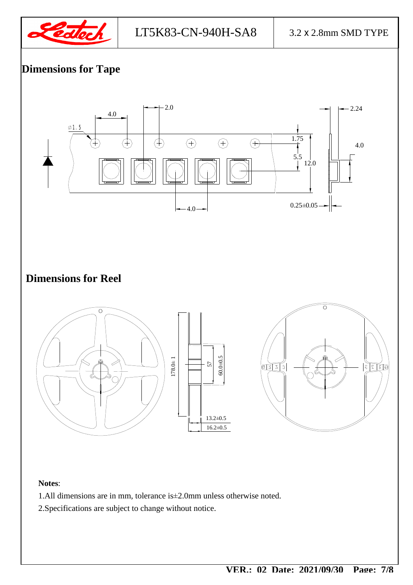

## **Dimensions for Tape**